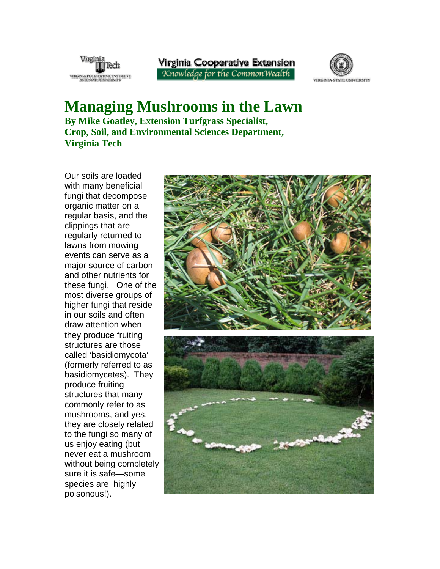

Virginia Cooperative Extension Knowledge for the CommonWealth



**Managing Mushrooms in the Lawn By Mike Goatley, Extension Turfgrass Specialist, Crop, Soil, and Environmental Sciences Department, Virginia Tech** 

Our soils are loaded with many beneficial fungi that decompose organic matter on a regular basis, and the clippings that are regularly returned to lawns from mowing events can serve as a major source of carbon and other nutrients for these fungi. One of the most diverse groups of higher fungi that reside in our soils and often draw attention when they produce fruiting structures are those called 'basidiomycota' (formerly referred to as basidiomycetes). They produce fruiting structures that many commonly refer to as mushrooms, and yes, they are closely related to the fungi so many of us enjoy eating (but never eat a mushroom without being completely sure it is safe—some species are highly poisonous!).

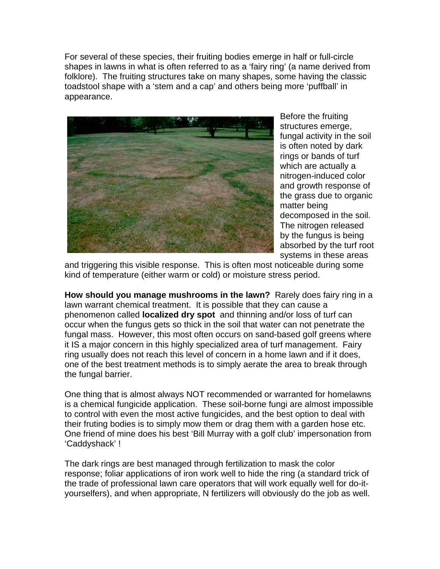For several of these species, their fruiting bodies emerge in half or full-circle shapes in lawns in what is often referred to as a 'fairy ring' (a name derived from folklore). The fruiting structures take on many shapes, some having the classic toadstool shape with a 'stem and a cap' and others being more 'puffball' in appearance.



Before the fruiting structures emerge, fungal activity in the soil is often noted by dark rings or bands of turf which are actually a nitrogen-induced color and growth response of the grass due to organic matter being decomposed in the soil. The nitrogen released by the fungus is being absorbed by the turf root systems in these areas

and triggering this visible response. This is often most noticeable during some kind of temperature (either warm or cold) or moisture stress period.

**How should you manage mushrooms in the lawn?** Rarely does fairy ring in a lawn warrant chemical treatment. It is possible that they can cause a phenomenon called **localized dry spot** and thinning and/or loss of turf can occur when the fungus gets so thick in the soil that water can not penetrate the fungal mass. However, this most often occurs on sand-based golf greens where it IS a major concern in this highly specialized area of turf management. Fairy ring usually does not reach this level of concern in a home lawn and if it does, one of the best treatment methods is to simply aerate the area to break through the fungal barrier.

One thing that is almost always NOT recommended or warranted for homelawns is a chemical fungicide application. These soil-borne fungi are almost impossible to control with even the most active fungicides, and the best option to deal with their fruting bodies is to simply mow them or drag them with a garden hose etc. One friend of mine does his best 'Bill Murray with a golf club' impersonation from 'Caddyshack' !

The dark rings are best managed through fertilization to mask the color response; foliar applications of iron work well to hide the ring (a standard trick of the trade of professional lawn care operators that will work equally well for do-ityourselfers), and when appropriate, N fertilizers will obviously do the job as well.